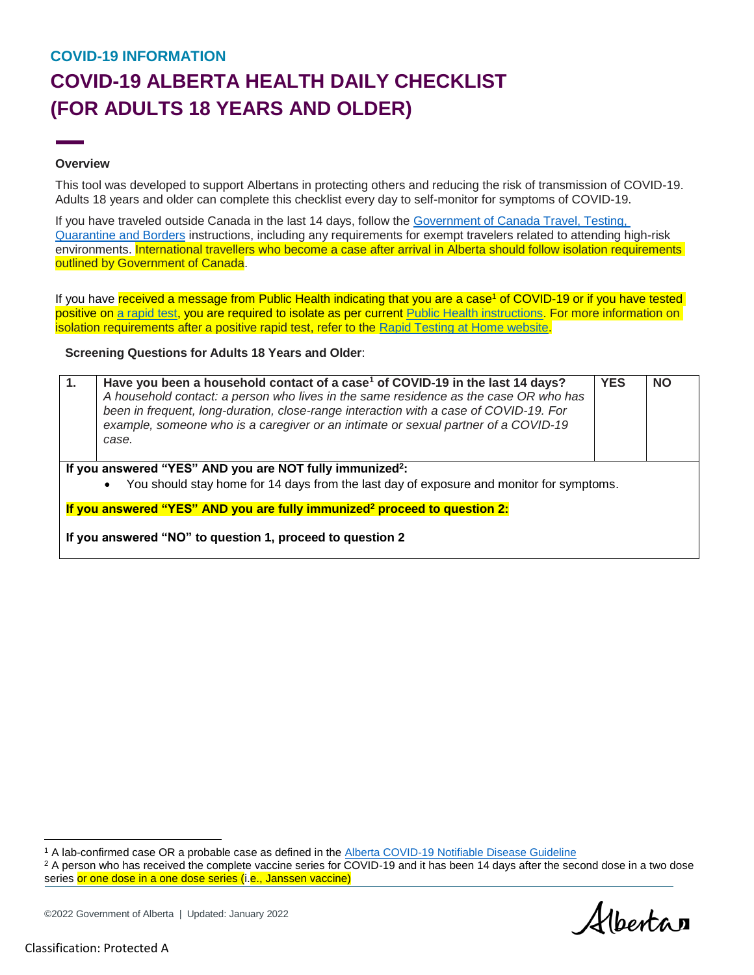# **COVID-19 INFORMATION COVID-19 ALBERTA HEALTH DAILY CHECKLIST (FOR ADULTS 18 YEARS AND OLDER)**

### **Overview**

This tool was developed to support Albertans in protecting others and reducing the risk of transmission of COVID-19. Adults 18 years and older can complete this checklist every day to self-monitor for symptoms of COVID-19.

If you have traveled outside Canada in the last 14 days, follow the [Government of Canada Travel, Testing,](https://travel.gc.ca/travel-covid)  [Quarantine and Borders](https://travel.gc.ca/travel-covid) instructions, including any requirements for exempt travelers related to attending high-risk environments. International travellers who become a case after arrival in Alberta should follow isolation requirements outlined by Government of Canada.

If you have received a message from Public Health indicating that you are a case<sup>1</sup> of COVID-19 or if you have tested positive on [a rapid test,](https://www.alberta.ca/rapid-testing-at-home.aspx) you are required to isolate as per current [Public Health instructions.](https://www.alberta.ca/covid-19-orders-and-legislation.aspx) For more information on isolation requirements after a positive rapid test, refer to the [Rapid Testing at Home website.](https://www.alberta.ca/rapid-testing-at-home.aspx)

**Screening Questions for Adults 18 Years and Older**:

| 1.                                                                                                                                                               | Have you been a household contact of a case <sup>1</sup> of COVID-19 in the last 14 days?<br>A household contact: a person who lives in the same residence as the case OR who has<br>been in frequent, long-duration, close-range interaction with a case of COVID-19. For<br>example, someone who is a caregiver or an intimate or sexual partner of a COVID-19<br>case. | <b>YES</b> | <b>NO</b> |  |
|------------------------------------------------------------------------------------------------------------------------------------------------------------------|---------------------------------------------------------------------------------------------------------------------------------------------------------------------------------------------------------------------------------------------------------------------------------------------------------------------------------------------------------------------------|------------|-----------|--|
| If you answered "YES" AND you are NOT fully immunized <sup>2</sup> :<br>You should stay home for 14 days from the last day of exposure and monitor for symptoms. |                                                                                                                                                                                                                                                                                                                                                                           |            |           |  |
| If you answered "YES" AND you are fully immunized <sup>2</sup> proceed to question 2:                                                                            |                                                                                                                                                                                                                                                                                                                                                                           |            |           |  |
| If you answered "NO" to question 1, proceed to question 2                                                                                                        |                                                                                                                                                                                                                                                                                                                                                                           |            |           |  |

Albertan

 $\overline{\phantom{a}}$ 

<sup>&</sup>lt;sup>1</sup> A lab-confirmed case OR a probable case as defined in the **Alberta COVID-19 Notifiable Disease Guideline** 

<sup>&</sup>lt;sup>2</sup> A person who has received the complete vaccine series for COVID-19 and it has been 14 days after the second dose in a two dose series or one dose in a one dose series (i.e., Janssen vaccine)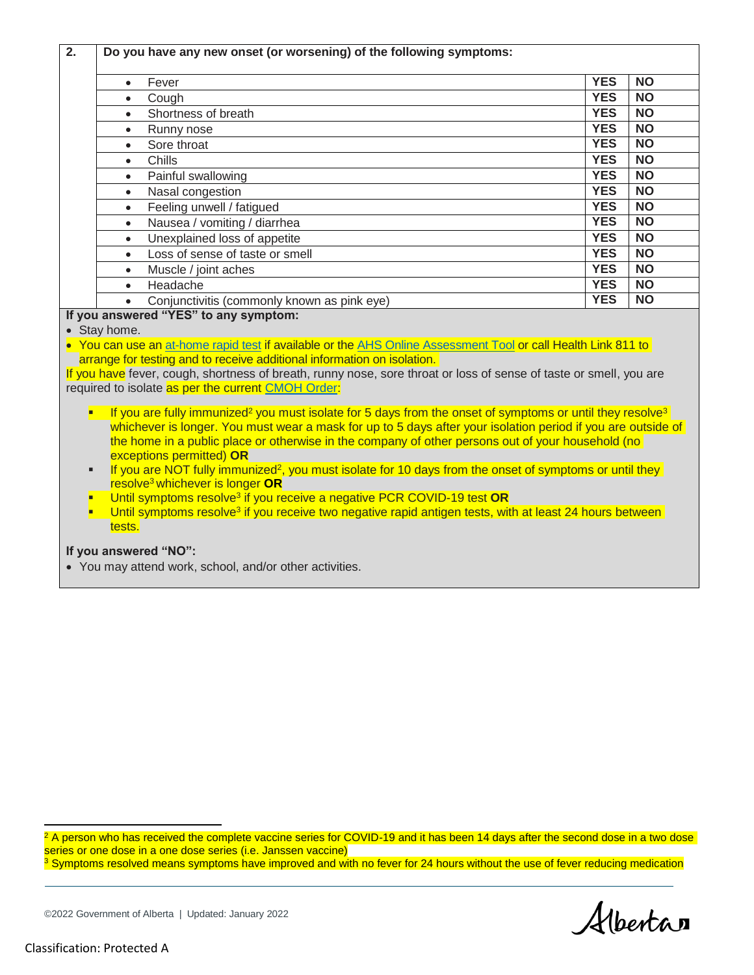| Fever<br>$\bullet$<br>Cough<br>$\bullet$                                                                                                                                 | <b>YES</b><br><b>YES</b> | <b>NO</b> |
|--------------------------------------------------------------------------------------------------------------------------------------------------------------------------|--------------------------|-----------|
|                                                                                                                                                                          |                          |           |
|                                                                                                                                                                          |                          | <b>NO</b> |
| Shortness of breath                                                                                                                                                      | <b>YES</b>               | <b>NO</b> |
| Runny nose<br>$\bullet$                                                                                                                                                  | <b>YES</b>               | <b>NO</b> |
| Sore throat<br>$\bullet$                                                                                                                                                 | <b>YES</b>               | <b>NO</b> |
| Chills<br>$\bullet$                                                                                                                                                      | <b>YES</b>               | <b>NO</b> |
| Painful swallowing                                                                                                                                                       | <b>YES</b>               | <b>NO</b> |
| Nasal congestion<br>$\bullet$                                                                                                                                            | <b>YES</b>               | <b>NO</b> |
| Feeling unwell / fatigued<br>$\bullet$                                                                                                                                   | <b>YES</b>               | <b>NO</b> |
| Nausea / vomiting / diarrhea<br>$\bullet$                                                                                                                                | <b>YES</b>               | <b>NO</b> |
| Unexplained loss of appetite<br>$\bullet$                                                                                                                                | <b>YES</b>               | <b>NO</b> |
| Loss of sense of taste or smell                                                                                                                                          | <b>YES</b>               | <b>NO</b> |
| Muscle / joint aches<br>$\bullet$                                                                                                                                        | <b>YES</b>               | <b>NO</b> |
| Headache<br>$\bullet$                                                                                                                                                    | <b>YES</b>               | <b>NO</b> |
| Conjunctivitis (commonly known as pink eye)                                                                                                                              | <b>YES</b>               | <b>NO</b> |
| If you answered "YES" to any symptom:                                                                                                                                    |                          |           |
| • Stay home.                                                                                                                                                             |                          |           |
| • You can use an at-home rapid test if available or the AHS Online Assessment Tool or call Health Link 811 to                                                            |                          |           |
| arrange for testing and to receive additional information on isolation.                                                                                                  |                          |           |
| If you have fever, cough, shortness of breath, runny nose, sore throat or loss of sense of taste or smell, you are<br>required to isolate as per the current CMOH Order: |                          |           |

- If you are fully immunized<sup>2</sup> you must isolate for 5 days from the onset of symptoms or until they resolve<sup>3</sup> whichever is longer. You must wear a mask for up to 5 days after your isolation period if you are outside of the home in a public place or otherwise in the company of other persons out of your household (no exceptions permitted) **OR**
- If you are NOT fully immunized<sup>2</sup>, you must isolate for 10 days from the onset of symptoms or until they resolve<sup>3</sup> whichever is longer **OR**
- Until symptoms resolve<sup>3</sup> if you receive a negative PCR COVID-19 test OR
- **Until symptoms resolve<sup>3</sup> if you receive two negative rapid antigen tests, with at least 24 hours between** tests.

### **If you answered "NO":**

You may attend work, school, and/or other activities.

<sup>2</sup> A person who has received the complete vaccine series for COVID-19 and it has been 14 days after the second dose in a two dose series or one dose in a one dose series (i.e. Janssen vaccine)

<sup>3</sup> Symptoms resolved means symptoms have improved and with no fever for 24 hours without the use of fever reducing medication

Albertan

l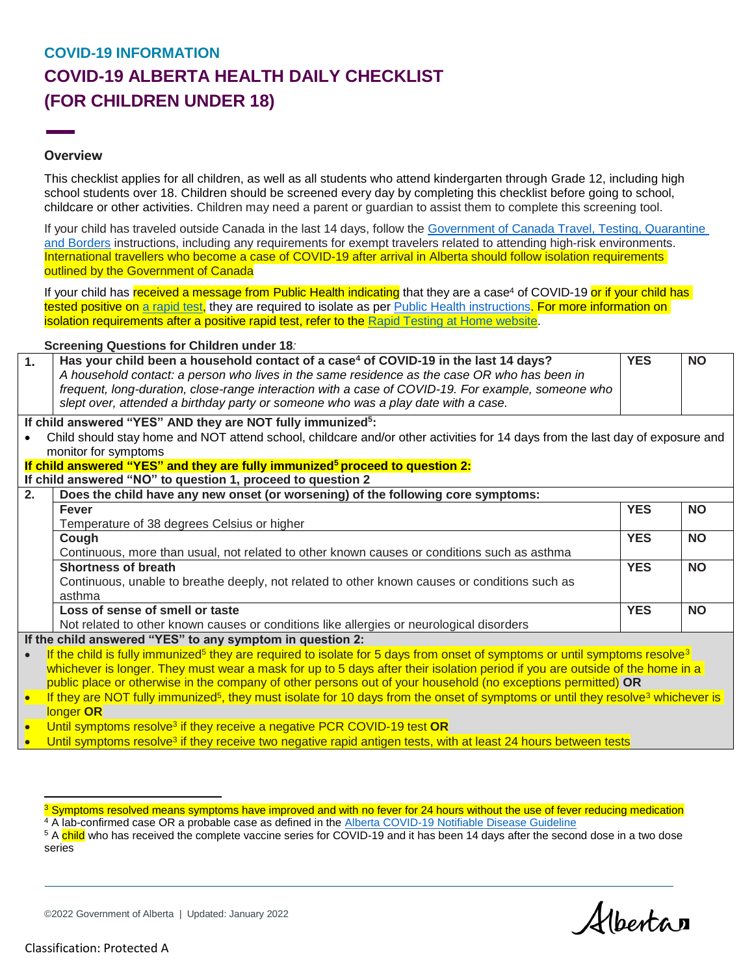## **COVID-19 INFORMATION COVID-19 ALBERTA HEALTH DAILY CHECKLIST (FOR CHILDREN UNDER 18)**

### **Overview**

This checklist applies for all children, as well as all students who attend kindergarten through Grade 12, including high school students over 18. Children should be screened every day by completing this checklist before going to school, childcare or other activities. Children may need a parent or guardian to assist them to complete this screening tool.

If your child has traveled outside Canada in the last 14 days, follow the [Government of Canada Travel, Testing, Quarantine](https://travel.gc.ca/travel-covid)  [and Borders](https://travel.gc.ca/travel-covid) instructions, including any requirements for exempt travelers related to attending high-risk environments. International travellers who become a case of COVID-19 after arrival in Alberta should follow isolation requirements outlined by the Government of Canada

If your child has received a message from Public Health indicating that they are a case<sup>4</sup> of COVID-19 or if your child has tested positive on a [rapid test,](https://www.alberta.ca/rapid-testing-at-home.aspx) they are required to isolate as per [Public Health instructions.](https://www.alberta.ca/covid-19-orders-and-legislation.aspx) For more information on isolation requirements after a positive rapid test, refer to the [Rapid Testing at Home website.](https://www.alberta.ca/rapid-testing-at-home.aspx)

#### **Screening Questions for Children under 18***:*

| 1.                                                                                                                                                      | Has your child been a household contact of a case <sup>4</sup> of COVID-19 in the last 14 days?<br>A household contact: a person who lives in the same residence as the case OR who has been in<br>frequent, long-duration, close-range interaction with a case of COVID-19. For example, someone who<br>slept over, attended a birthday party or someone who was a play date with a case. | <b>YES</b> | <b>NO</b> |  |  |
|---------------------------------------------------------------------------------------------------------------------------------------------------------|--------------------------------------------------------------------------------------------------------------------------------------------------------------------------------------------------------------------------------------------------------------------------------------------------------------------------------------------------------------------------------------------|------------|-----------|--|--|
| If child answered "YES" AND they are NOT fully immunized <sup>5</sup> :                                                                                 |                                                                                                                                                                                                                                                                                                                                                                                            |            |           |  |  |
| Child should stay home and NOT attend school, childcare and/or other activities for 14 days from the last day of exposure and                           |                                                                                                                                                                                                                                                                                                                                                                                            |            |           |  |  |
|                                                                                                                                                         | monitor for symptoms                                                                                                                                                                                                                                                                                                                                                                       |            |           |  |  |
|                                                                                                                                                         | If child answered "YES" and they are fully immunized <sup>5</sup> proceed to question 2:                                                                                                                                                                                                                                                                                                   |            |           |  |  |
|                                                                                                                                                         | If child answered "NO" to question 1, proceed to question 2                                                                                                                                                                                                                                                                                                                                |            |           |  |  |
| 2.                                                                                                                                                      | Does the child have any new onset (or worsening) of the following core symptoms:                                                                                                                                                                                                                                                                                                           |            |           |  |  |
|                                                                                                                                                         | <b>Fever</b>                                                                                                                                                                                                                                                                                                                                                                               | <b>YES</b> | <b>NO</b> |  |  |
|                                                                                                                                                         | Temperature of 38 degrees Celsius or higher                                                                                                                                                                                                                                                                                                                                                |            |           |  |  |
|                                                                                                                                                         | Cough                                                                                                                                                                                                                                                                                                                                                                                      | <b>YES</b> | <b>NO</b> |  |  |
|                                                                                                                                                         | Continuous, more than usual, not related to other known causes or conditions such as asthma                                                                                                                                                                                                                                                                                                |            |           |  |  |
|                                                                                                                                                         | <b>Shortness of breath</b>                                                                                                                                                                                                                                                                                                                                                                 | <b>YES</b> | <b>NO</b> |  |  |
|                                                                                                                                                         | Continuous, unable to breathe deeply, not related to other known causes or conditions such as                                                                                                                                                                                                                                                                                              |            |           |  |  |
|                                                                                                                                                         | asthma                                                                                                                                                                                                                                                                                                                                                                                     |            |           |  |  |
|                                                                                                                                                         | Loss of sense of smell or taste                                                                                                                                                                                                                                                                                                                                                            | <b>YES</b> | <b>NO</b> |  |  |
|                                                                                                                                                         | Not related to other known causes or conditions like allergies or neurological disorders                                                                                                                                                                                                                                                                                                   |            |           |  |  |
| If the child answered "YES" to any symptom in question 2:                                                                                               |                                                                                                                                                                                                                                                                                                                                                                                            |            |           |  |  |
| If the child is fully immunized <sup>5</sup> they are required to isolate for 5 days from onset of symptoms or until symptoms resolve <sup>3</sup>      |                                                                                                                                                                                                                                                                                                                                                                                            |            |           |  |  |
|                                                                                                                                                         | whichever is longer. They must wear a mask for up to 5 days after their isolation period if you are outside of the home in a                                                                                                                                                                                                                                                               |            |           |  |  |
|                                                                                                                                                         | public place or otherwise in the company of other persons out of your household (no exceptions permitted) OR                                                                                                                                                                                                                                                                               |            |           |  |  |
| If they are NOT fully immunized <sup>5</sup> , they must isolate for 10 days from the onset of symptoms or until they resolve <sup>3</sup> whichever is |                                                                                                                                                                                                                                                                                                                                                                                            |            |           |  |  |
| longer OR                                                                                                                                               |                                                                                                                                                                                                                                                                                                                                                                                            |            |           |  |  |
| $\bullet$                                                                                                                                               | Until symptoms resolve <sup>3</sup> if they receive a negative PCR COVID-19 test OR                                                                                                                                                                                                                                                                                                        |            |           |  |  |
|                                                                                                                                                         | Until symptoms resolve <sup>3</sup> if they receive two negative rapid antigen tests, with at least 24 hours between tests                                                                                                                                                                                                                                                                 |            |           |  |  |

<sup>5</sup> A child who has received the complete vaccine series for COVID-19 and it has been 14 days after the second dose in a two dose series

©2022 Government of Alberta | Updated: January 2022

Albertan

 $\overline{a}$ 

<sup>&</sup>lt;sup>3</sup> Symptoms resolved means symptoms have improved and with no fever for 24 hours without the use of fever reducing medication <sup>4</sup> A lab-confirmed case OR a probable case as defined in the **Alberta COVID-19 Notifiable Disease Guideline**